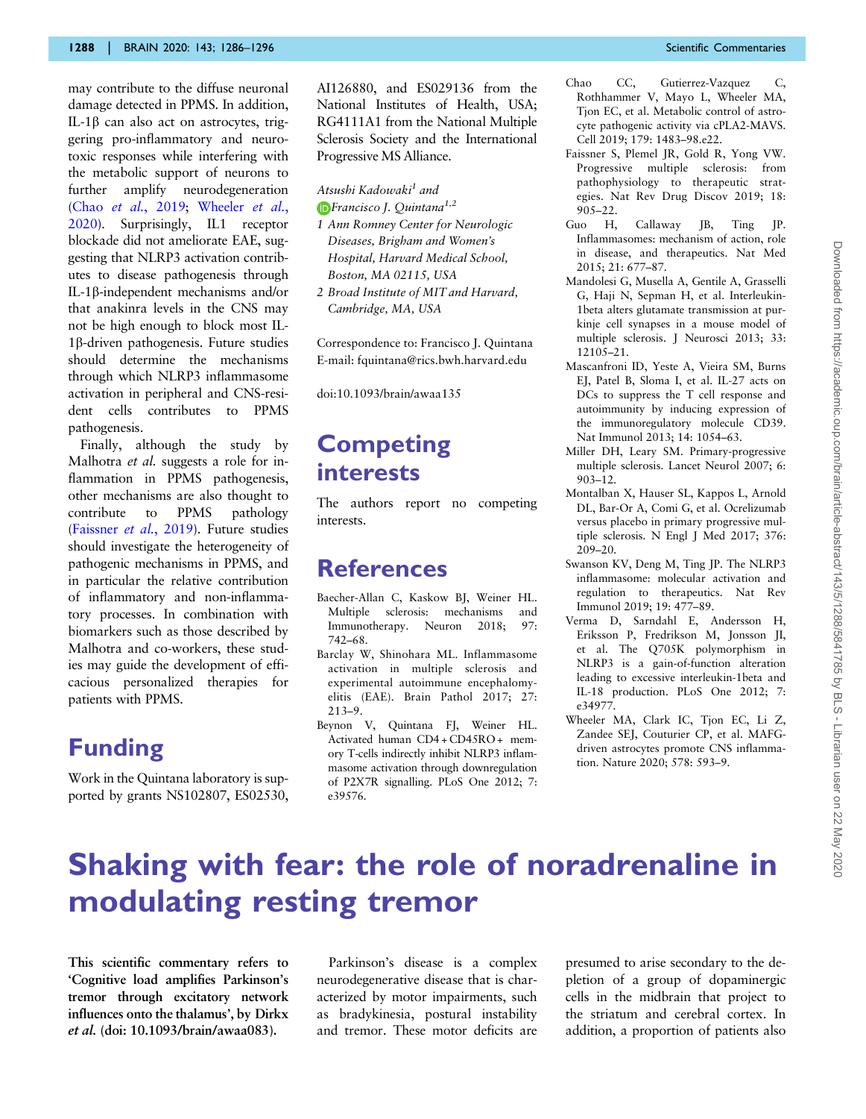may contribute to the diffuse neuronal damage detected in PPMS. In addition, IL-1b can also act on astrocytes, triggering pro-inflammatory and neurotoxic responses while interfering with the metabolic support of neurons to further amplify neurodegeneration (Chao et al., 2019; Wheeler et al., 2020). Surprisingly, IL1 receptor blockade did not ameliorate EAE, suggesting that NLRP3 activation contributes to disease pathogenesis through IL-1b-independent mechanisms and/or that anakinra levels in the CNS may not be high enough to block most IL-1b-driven pathogenesis. Future studies should determine the mechanisms through which NLRP3 inflammasome activation in peripheral and CNS-resident cells contributes to PPMS pathogenesis.

Finally, although the study by Malhotra *et al.* suggests a role for inflammation in PPMS pathogenesis, other mechanisms are also thought to contribute to PPMS pathology (Faissner et al., 2019). Future studies should investigate the heterogeneity of pathogenic mechanisms in PPMS, and in particular the relative contribution of inflammatory and non-inflammatory processes. In combination with biomarkers such as those described by Malhotra and co-workers, these studies may guide the development of efficacious personalized therapies for patients with PPMS.

### Funding

Work in the Quintana laboratory is supported by grants NS102807, ES02530, AI126880, and ES029136 from the National Institutes of Health, USA; RG4111A1 from the National Multiple Sclerosis Society and the International Progressive MS Alliance.

#### Atsushi Kadowaki<sup>1</sup> and

- Francisco J. Quintana<sup>1,2</sup> 1 Ann Romney Center for Neurologic Diseases, Brigham and Women's Hospital, Harvard Medical School,
- Boston, MA 02115, USA 2 Broad Institute of MIT and Harvard,
	- Cambridge, MA, USA

Correspondence to: Francisco J. Quintana E-mail: fquintana@rics.bwh.harvard.edu

doi:10.1093/brain/awaa135

# **Competing** interests

The authors report no competing interests.

#### References

- Baecher-Allan C, Kaskow BJ, Weiner HL. Multiple sclerosis: mechanisms and Immunotherapy. Neuron 2018; 97: 742–68.
- Barclay W, Shinohara ML. Inflammasome activation in multiple sclerosis and experimental autoimmune encephalomyelitis (EAE). Brain Pathol 2017; 27: 213–9.
- Beynon V, Quintana FJ, Weiner HL. Activated human CD4 + CD45RO + memory T-cells indirectly inhibit NLRP3 inflammasome activation through downregulation of P2X7R signalling. PLoS One 2012; 7: e39576.
- Chao CC, Gutierrez-Vazquez C, Rothhammer V, Mayo L, Wheeler MA, Tjon EC, et al. Metabolic control of astrocyte pathogenic activity via cPLA2-MAVS. Cell 2019; 179: 1483–98.e22.
- Faissner S, Plemel JR, Gold R, Yong VW. Progressive multiple sclerosis: from pathophysiology to therapeutic strategies. Nat Rev Drug Discov 2019; 18: 905–22.
- Guo H, Callaway JB, Ting JP. Inflammasomes: mechanism of action, role in disease, and therapeutics. Nat Med 2015; 21: 677–87.
- Mandolesi G, Musella A, Gentile A, Grasselli G, Haji N, Sepman H, et al. Interleukin-1beta alters glutamate transmission at purkinje cell synapses in a mouse model of multiple sclerosis. J Neurosci 2013; 33: 12105–21.
- Mascanfroni ID, Yeste A, Vieira SM, Burns EJ, Patel B, Sloma I, et al. IL-27 acts on DCs to suppress the T cell response and autoimmunity by inducing expression of the immunoregulatory molecule CD39. Nat Immunol 2013; 14: 1054–63.
- Miller DH, Leary SM. Primary-progressive multiple sclerosis. Lancet Neurol 2007; 6: 903–12.
- Montalban X, Hauser SL, Kappos L, Arnold DL, Bar-Or A, Comi G, et al. Ocrelizumab versus placebo in primary progressive multiple sclerosis. N Engl J Med 2017; 376: 209–20.
- Swanson KV, Deng M, Ting JP. The NLRP3 inflammasome: molecular activation and regulation to therapeutics. Nat Rev Immunol 2019; 19: 477–89.
- Verma D, Sarndahl E, Andersson H, Eriksson P, Fredrikson M, Jonsson JI, et al. The Q705K polymorphism in NLRP3 is a gain-of-function alteration leading to excessive interleukin-1beta and IL-18 production. PLoS One 2012; 7: e34977.
- Wheeler MA, Clark IC, Tion EC, Li Z, Zandee SEJ, Couturier CP, et al. MAFGdriven astrocytes promote CNS inflammation. Nature 2020; 578: 593–9.

# Shaking with fear: the role of noradrenaline in modulating resting tremor

This scientific commentary refers to 'Cognitive load amplifies Parkinson's tremor through excitatory network influences onto the thalamus', by Dirkx et al. (doi: 10.1093/brain/awaa083).

Parkinson's disease is a complex neurodegenerative disease that is characterized by motor impairments, such as bradykinesia, postural instability and tremor. These motor deficits are presumed to arise secondary to the depletion of a group of dopaminergic cells in the midbrain that project to the striatum and cerebral cortex. In addition, a proportion of patients also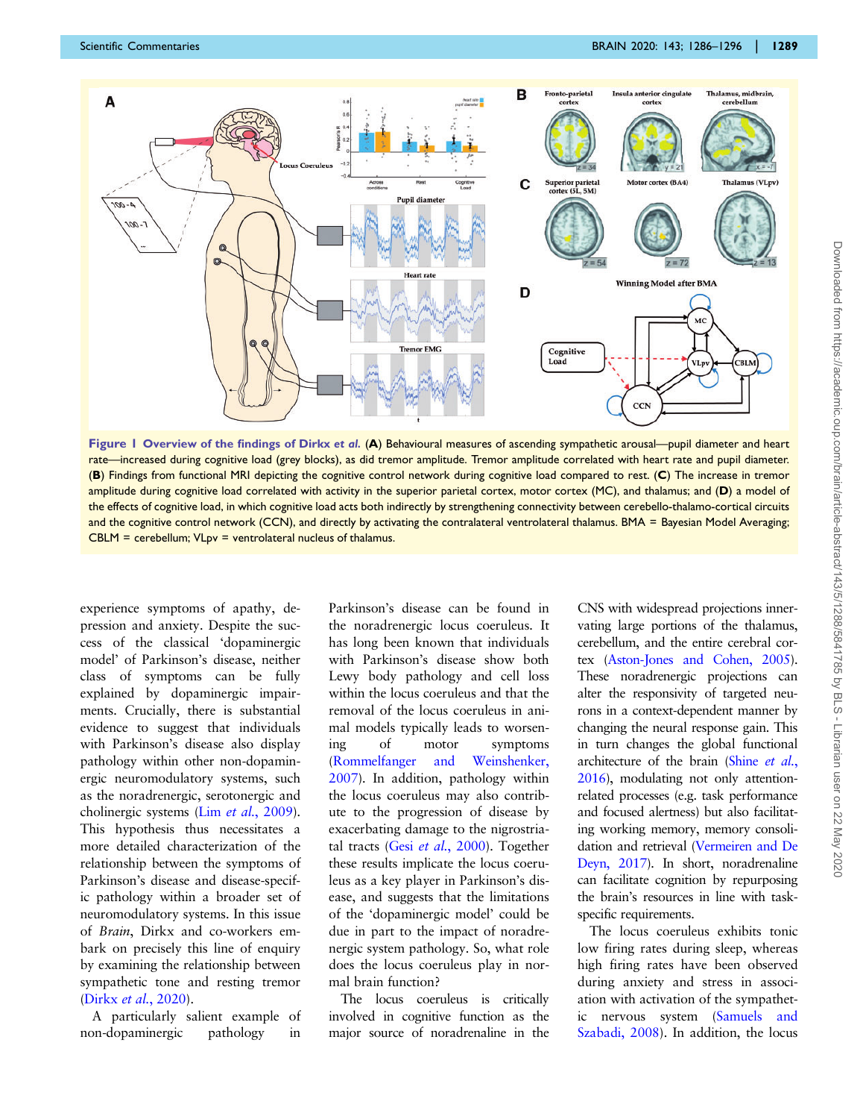<span id="page-1-0"></span>

Figure 1 Overview of the findings of Dirkx et al. (A) Behavioural measures of ascending sympathetic arousal—pupil diameter and heart rate—increased during cognitive load (grey blocks), as did tremor amplitude. Tremor amplitude correlated with heart rate and pupil diameter. (B) Findings from functional MRI depicting the cognitive control network during cognitive load compared to rest. (C) The increase in tremor amplitude during cognitive load correlated with activity in the superior parietal cortex, motor cortex (MC), and thalamus; and (D) a model of the effects of cognitive load, in which cognitive load acts both indirectly by strengthening connectivity between cerebello-thalamo-cortical circuits and the cognitive control network (CCN), and directly by activating the contralateral ventrolateral thalamus. BMA = Bayesian Model Averaging; CBLM = cerebellum; VLpv = ventrolateral nucleus of thalamus.

experience symptoms of apathy, depression and anxiety. Despite the success of the classical 'dopaminergic model' of Parkinson's disease, neither class of symptoms can be fully explained by dopaminergic impairments. Crucially, there is substantial evidence to suggest that individuals with Parkinson's disease also display pathology within other non-dopaminergic neuromodulatory systems, such as the noradrenergic, serotonergic and cholinergic systems (Lim et al., 2009). This hypothesis thus necessitates a more detailed characterization of the relationship between the symptoms of Parkinson's disease and disease-specific pathology within a broader set of neuromodulatory systems. In this issue of Brain, Dirkx and co-workers embark on precisely this line of enquiry by examining the relationship between sympathetic tone and resting tremor (Dirkx et al., 2020).

A particularly salient example of non-dopaminergic pathology in

Parkinson's disease can be found in the noradrenergic locus coeruleus. It has long been known that individuals with Parkinson's disease show both Lewy body pathology and cell loss within the locus coeruleus and that the removal of the locus coeruleus in animal models typically leads to worsening of motor symptoms (Rommelfanger and Weinshenker, 2007). In addition, pathology within the locus coeruleus may also contribute to the progression of disease by exacerbating damage to the nigrostriatal tracts (Gesi et al., 2000). Together these results implicate the locus coeruleus as a key player in Parkinson's disease, and suggests that the limitations of the 'dopaminergic model' could be due in part to the impact of noradrenergic system pathology. So, what role does the locus coeruleus play in normal brain function?

The locus coeruleus is critically involved in cognitive function as the major source of noradrenaline in the CNS with widespread projections innervating large portions of the thalamus, cerebellum, and the entire cerebral cortex (Aston-Jones and Cohen, 2005). These noradrenergic projections can alter the responsivity of targeted neurons in a context-dependent manner by changing the neural response gain. This in turn changes the global functional architecture of the brain (Shine et al., 2016), modulating not only attentionrelated processes (e.g. task performance and focused alertness) but also facilitating working memory, memory consolidation and retrieval (Vermeiren and De Deyn, 2017). In short, noradrenaline can facilitate cognition by repurposing the brain's resources in line with taskspecific requirements.

The locus coeruleus exhibits tonic low firing rates during sleep, whereas high firing rates have been observed during anxiety and stress in association with activation of the sympathetic nervous system (Samuels and Szabadi, 2008). In addition, the locus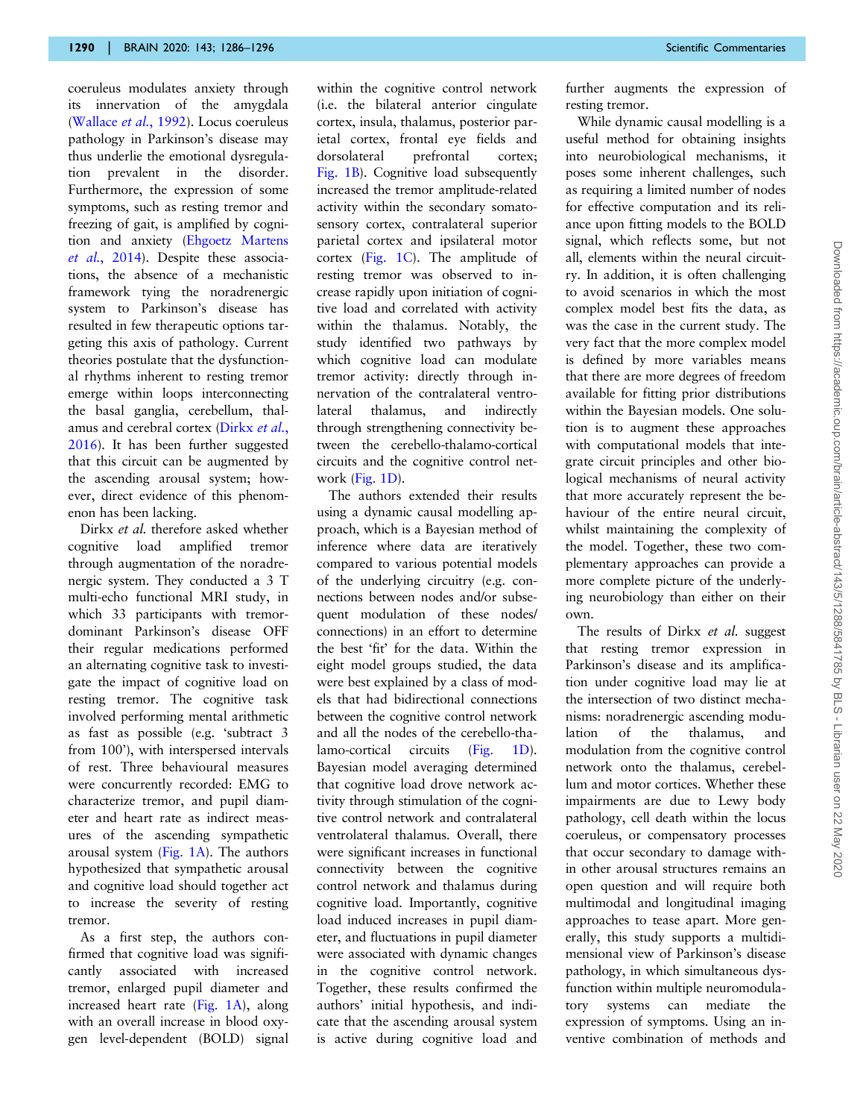coeruleus modulates anxiety through its innervation of the amygdala (Wallace et al., 1992). Locus coeruleus pathology in Parkinson's disease may thus underlie the emotional dysregulation prevalent in the disorder. Furthermore, the expression of some symptoms, such as resting tremor and freezing of gait, is amplified by cognition and anxiety (Ehgoetz Martens et al., 2014). Despite these associations, the absence of a mechanistic framework tying the noradrenergic system to Parkinson's disease has resulted in few therapeutic options targeting this axis of pathology. Current theories postulate that the dysfunctional rhythms inherent to resting tremor emerge within loops interconnecting the basal ganglia, cerebellum, thalamus and cerebral cortex (Dirkx et al., 2016). It has been further suggested that this circuit can be augmented by the ascending arousal system; however, direct evidence of this phenomenon has been lacking.

Dirkx et al. therefore asked whether cognitive load amplified tremor through augmentation of the noradrenergic system. They conducted a 3 T multi-echo functional MRI study, in which 33 participants with tremordominant Parkinson's disease OFF their regular medications performed an alternating cognitive task to investigate the impact of cognitive load on resting tremor. The cognitive task involved performing mental arithmetic as fast as possible (e.g. 'subtract 3 from 100'), with interspersed intervals of rest. Three behavioural measures were concurrently recorded: EMG to characterize tremor, and pupil diameter and heart rate as indirect measures of the ascending sympathetic arousal system (Fig.  $1A$ ). The authors hypothesized that sympathetic arousal and cognitive load should together act to increase the severity of resting tremor.

As a first step, the authors confirmed that cognitive load was significantly associated with increased tremor, enlarged pupil diameter and increased heart rate [\(Fig. 1A](#page-1-0)), along with an overall increase in blood oxygen level-dependent (BOLD) signal

within the cognitive control network (i.e. the bilateral anterior cingulate cortex, insula, thalamus, posterior parietal cortex, frontal eye fields and dorsolateral prefrontal cortex; [Fig. 1B](#page-1-0)). Cognitive load subsequently increased the tremor amplitude-related activity within the secondary somatosensory cortex, contralateral superior parietal cortex and ipsilateral motor cortex ([Fig. 1C\)](#page-1-0). The amplitude of resting tremor was observed to increase rapidly upon initiation of cognitive load and correlated with activity within the thalamus. Notably, the study identified two pathways by which cognitive load can modulate tremor activity: directly through innervation of the contralateral ventrolateral thalamus, and indirectly through strengthening connectivity between the cerebello-thalamo-cortical circuits and the cognitive control network [\(Fig. 1D](#page-1-0)).

The authors extended their results using a dynamic causal modelling approach, which is a Bayesian method of inference where data are iteratively compared to various potential models of the underlying circuitry (e.g. connections between nodes and/or subsequent modulation of these nodes/ connections) in an effort to determine the best 'fit' for the data. Within the eight model groups studied, the data were best explained by a class of models that had bidirectional connections between the cognitive control network and all the nodes of the cerebello-thalamo-cortical circuits [\(Fig. 1D\)](#page-1-0). Bayesian model averaging determined that cognitive load drove network activity through stimulation of the cognitive control network and contralateral ventrolateral thalamus. Overall, there were significant increases in functional connectivity between the cognitive control network and thalamus during cognitive load. Importantly, cognitive load induced increases in pupil diameter, and fluctuations in pupil diameter were associated with dynamic changes in the cognitive control network. Together, these results confirmed the authors' initial hypothesis, and indicate that the ascending arousal system is active during cognitive load and further augments the expression of resting tremor.

While dynamic causal modelling is a useful method for obtaining insights into neurobiological mechanisms, it poses some inherent challenges, such as requiring a limited number of nodes for effective computation and its reliance upon fitting models to the BOLD signal, which reflects some, but not all, elements within the neural circuitry. In addition, it is often challenging to avoid scenarios in which the most complex model best fits the data, as was the case in the current study. The very fact that the more complex model is defined by more variables means that there are more degrees of freedom available for fitting prior distributions within the Bayesian models. One solution is to augment these approaches with computational models that integrate circuit principles and other biological mechanisms of neural activity that more accurately represent the behaviour of the entire neural circuit. whilst maintaining the complexity of the model. Together, these two complementary approaches can provide a more complete picture of the underlying neurobiology than either on their own.

The results of Dirkx et al. suggest that resting tremor expression in Parkinson's disease and its amplification under cognitive load may lie at the intersection of two distinct mechanisms: noradrenergic ascending modulation of the thalamus, and modulation from the cognitive control network onto the thalamus, cerebellum and motor cortices. Whether these impairments are due to Lewy body pathology, cell death within the locus coeruleus, or compensatory processes that occur secondary to damage within other arousal structures remains an open question and will require both multimodal and longitudinal imaging approaches to tease apart. More generally, this study supports a multidimensional view of Parkinson's disease pathology, in which simultaneous dysfunction within multiple neuromodulatory systems can mediate the expression of symptoms. Using an inventive combination of methods and